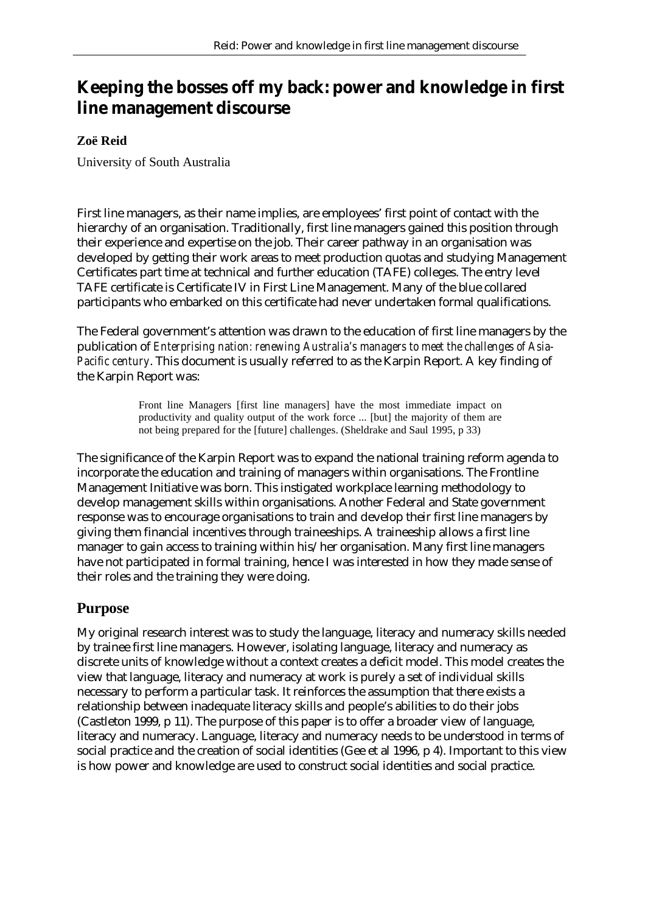# **Keeping the bosses off my back: power and knowledge in first line management discourse**

#### **Zoë Reid**

University of South Australia

First line managers, as their name implies, are employees' first point of contact with the hierarchy of an organisation. Traditionally, first line managers gained this position through their experience and expertise on the job. Their career pathway in an organisation was developed by getting their work areas to meet production quotas and studying Management Certificates part time at technical and further education (TAFE) colleges. The entry level TAFE certificate is Certificate IV in First Line Management. Many of the blue collared participants who embarked on this certificate had never undertaken formal qualifications.

The Federal government's attention was drawn to the education of first line managers by the publication of *Enterprising nation: renewing Australia's managers to meet the challenges of Asia-Pacific century*. This document is usually referred to as the Karpin Report. A key finding of the Karpin Report was:

> Front line Managers [first line managers] have the most immediate impact on productivity and quality output of the work force ... [but] the majority of them are not being prepared for the [future] challenges. (Sheldrake and Saul 1995, p 33)

The significance of the Karpin Report was to expand the national training reform agenda to incorporate the education and training of managers within organisations. The Frontline Management Initiative was born. This instigated workplace learning methodology to develop management skills within organisations. Another Federal and State government response was to encourage organisations to train and develop their first line managers by giving them financial incentives through traineeships. A traineeship allows a first line manager to gain access to training within his/her organisation. Many first line managers have not participated in formal training, hence I was interested in how they made sense of their roles and the training they were doing.

# **Purpose**

My original research interest was to study the language, literacy and numeracy skills needed by trainee first line managers. However, isolating language, literacy and numeracy as discrete units of knowledge without a context creates a deficit model. This model creates the view that language, literacy and numeracy at work is purely a set of individual skills necessary to perform a particular task. It reinforces the assumption that there exists a relationship between inadequate literacy skills and people's abilities to do their jobs (Castleton 1999, p 11). The purpose of this paper is to offer a broader view of language, literacy and numeracy. Language, literacy and numeracy needs to be understood in terms of social practice and the creation of social identities (Gee et al 1996, p 4). Important to this view is how power and knowledge are used to construct social identities and social practice.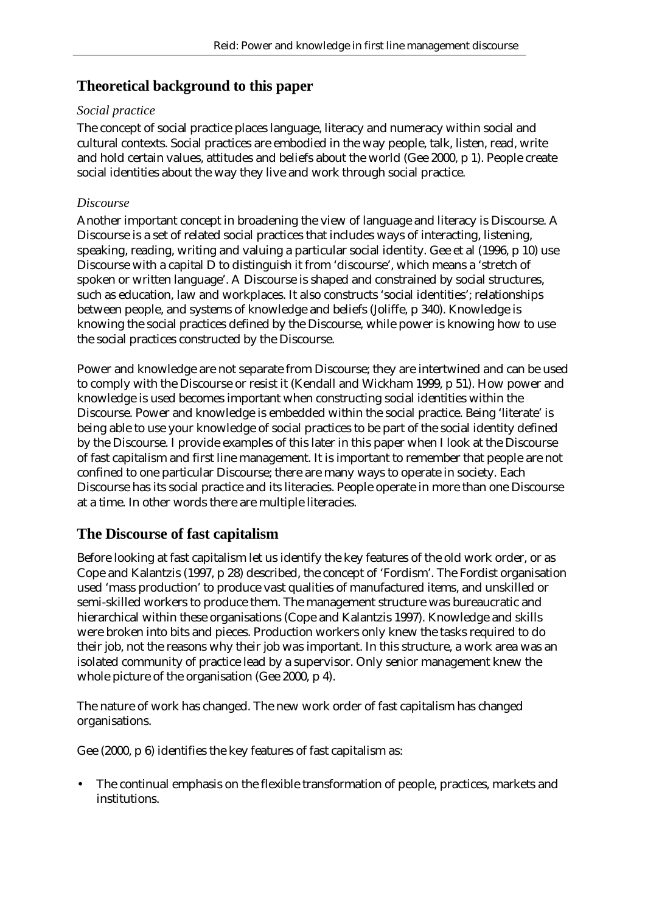# **Theoretical background to this paper**

#### *Social practice*

The concept of social practice places language, literacy and numeracy within social and cultural contexts. Social practices are embodied in the way people, talk, listen, read, write and hold certain values, attitudes and beliefs about the world (Gee 2000, p 1). People create social identities about the way they live and work through social practice.

#### *Discourse*

Another important concept in broadening the view of language and literacy is Discourse. A Discourse is a set of related social practices that includes ways of interacting, listening, speaking, reading, writing and valuing a particular social identity. Gee et al (1996, p 10) use Discourse with a capital D to distinguish it from 'discourse', which means a 'stretch of spoken or written language'. A Discourse is shaped and constrained by social structures, such as education, law and workplaces. It also constructs 'social identities'; relationships between people, and systems of knowledge and beliefs (Joliffe, p 340). Knowledge is knowing the social practices defined by the Discourse, while power is knowing how to use the social practices constructed by the Discourse.

Power and knowledge are not separate from Discourse; they are intertwined and can be used to comply with the Discourse or resist it (Kendall and Wickham 1999, p 51). How power and knowledge is used becomes important when constructing social identities within the Discourse. Power and knowledge is embedded within the social practice. Being 'literate' is being able to use your knowledge of social practices to be part of the social identity defined by the Discourse. I provide examples of this later in this paper when I look at the Discourse of fast capitalism and first line management. It is important to remember that people are not confined to one particular Discourse; there are many ways to operate in society. Each Discourse has its social practice and its literacies. People operate in more than one Discourse at a time. In other words there are multiple literacies.

# **The Discourse of fast capitalism**

Before looking at fast capitalism let us identify the key features of the old work order, or as Cope and Kalantzis (1997, p 28) described, the concept of 'Fordism'. The Fordist organisation used 'mass production' to produce vast qualities of manufactured items, and unskilled or semi-skilled workers to produce them. The management structure was bureaucratic and hierarchical within these organisations (Cope and Kalantzis 1997). Knowledge and skills were broken into bits and pieces. Production workers only knew the tasks required to do their job, not the reasons why their job was important. In this structure, a work area was an isolated community of practice lead by a supervisor. Only senior management knew the whole picture of the organisation (Gee 2000, p 4).

The nature of work has changed. The new work order of fast capitalism has changed organisations.

Gee (2000, p 6) identifies the key features of fast capitalism as:

• The continual emphasis on the flexible transformation of people, practices, markets and institutions.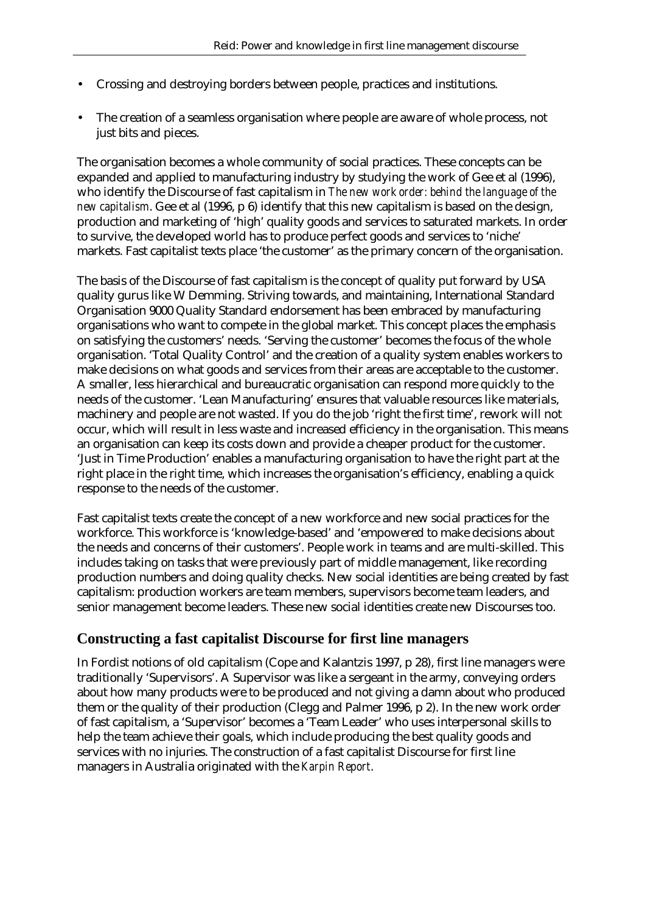- Crossing and destroying borders between people, practices and institutions.
- The creation of a seamless organisation where people are aware of whole process, not just bits and pieces.

The organisation becomes a whole community of social practices. These concepts can be expanded and applied to manufacturing industry by studying the work of Gee et al (1996), who identify the Discourse of fast capitalism in *The new work order: behind the language of the new capitalism*. Gee et al (1996, p 6) identify that this new capitalism is based on the design, production and marketing of 'high' quality goods and services to saturated markets. In order to survive, the developed world has to produce perfect goods and services to 'niche' markets. Fast capitalist texts place 'the customer' as the primary concern of the organisation.

The basis of the Discourse of fast capitalism is the concept of quality put forward by USA quality gurus like W Demming. Striving towards, and maintaining, International Standard Organisation 9000 Quality Standard endorsement has been embraced by manufacturing organisations who want to compete in the global market. This concept places the emphasis on satisfying the customers' needs. 'Serving the customer' becomes the focus of the whole organisation. 'Total Quality Control' and the creation of a quality system enables workers to make decisions on what goods and services from their areas are acceptable to the customer. A smaller, less hierarchical and bureaucratic organisation can respond more quickly to the needs of the customer. 'Lean Manufacturing' ensures that valuable resources like materials, machinery and people are not wasted. If you do the job 'right the first time', rework will not occur, which will result in less waste and increased efficiency in the organisation. This means an organisation can keep its costs down and provide a cheaper product for the customer. 'Just in Time Production' enables a manufacturing organisation to have the right part at the right place in the right time, which increases the organisation's efficiency, enabling a quick response to the needs of the customer.

Fast capitalist texts create the concept of a new workforce and new social practices for the workforce. This workforce is 'knowledge-based' and 'empowered to make decisions about the needs and concerns of their customers'. People work in teams and are multi-skilled. This includes taking on tasks that were previously part of middle management, like recording production numbers and doing quality checks. New social identities are being created by fast capitalism: production workers are team members, supervisors become team leaders, and senior management become leaders. These new social identities create new Discourses too.

# **Constructing a fast capitalist Discourse for first line managers**

In Fordist notions of old capitalism (Cope and Kalantzis 1997, p 28), first line managers were traditionally 'Supervisors'. A Supervisor was like a sergeant in the army, conveying orders about how many products were to be produced and not giving a damn about who produced them or the quality of their production (Clegg and Palmer 1996, p 2). In the new work order of fast capitalism, a 'Supervisor' becomes a 'Team Leader' who uses interpersonal skills to help the team achieve their goals, which include producing the best quality goods and services with no injuries. The construction of a fast capitalist Discourse for first line managers in Australia originated with the *Karpin Report*.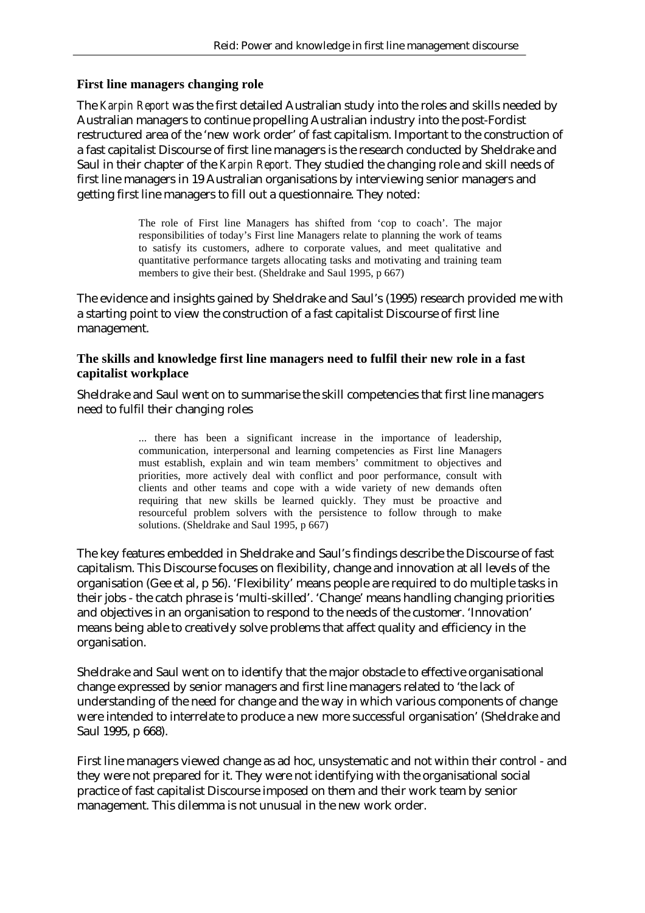#### **First line managers changing role**

The *Karpin Report* was the first detailed Australian study into the roles and skills needed by Australian managers to continue propelling Australian industry into the post-Fordist restructured area of the 'new work order' of fast capitalism. Important to the construction of a fast capitalist Discourse of first line managers is the research conducted by Sheldrake and Saul in their chapter of the *Karpin Report.* They studied the changing role and skill needs of first line managers in 19 Australian organisations by interviewing senior managers and getting first line managers to fill out a questionnaire. They noted:

> The role of First line Managers has shifted from 'cop to coach'. The major responsibilities of today's First line Managers relate to planning the work of teams to satisfy its customers, adhere to corporate values, and meet qualitative and quantitative performance targets allocating tasks and motivating and training team members to give their best. (Sheldrake and Saul 1995, p 667)

The evidence and insights gained by Sheldrake and Saul's (1995) research provided me with a starting point to view the construction of a fast capitalist Discourse of first line management.

#### **The skills and knowledge first line managers need to fulfil their new role in a fast capitalist workplace**

Sheldrake and Saul went on to summarise the skill competencies that first line managers need to fulfil their changing roles

> ... there has been a significant increase in the importance of leadership, communication, interpersonal and learning competencies as First line Managers must establish, explain and win team members' commitment to objectives and priorities, more actively deal with conflict and poor performance, consult with clients and other teams and cope with a wide variety of new demands often requiring that new skills be learned quickly. They must be proactive and resourceful problem solvers with the persistence to follow through to make solutions. (Sheldrake and Saul 1995, p 667)

The key features embedded in Sheldrake and Saul's findings describe the Discourse of fast capitalism. This Discourse focuses on flexibility, change and innovation at all levels of the organisation (Gee et al, p 56). 'Flexibility' means people are required to do multiple tasks in their jobs - the catch phrase is 'multi-skilled'. 'Change' means handling changing priorities and objectives in an organisation to respond to the needs of the customer. 'Innovation' means being able to creatively solve problems that affect quality and efficiency in the organisation.

Sheldrake and Saul went on to identify that the major obstacle to effective organisational change expressed by senior managers and first line managers related to 'the lack of understanding of the need for change and the way in which various components of change were intended to interrelate to produce a new more successful organisation' (Sheldrake and Saul 1995, p 668).

First line managers viewed change as ad hoc, unsystematic and not within their control - and they were not prepared for it. They were not identifying with the organisational social practice of fast capitalist Discourse imposed on them and their work team by senior management. This dilemma is not unusual in the new work order.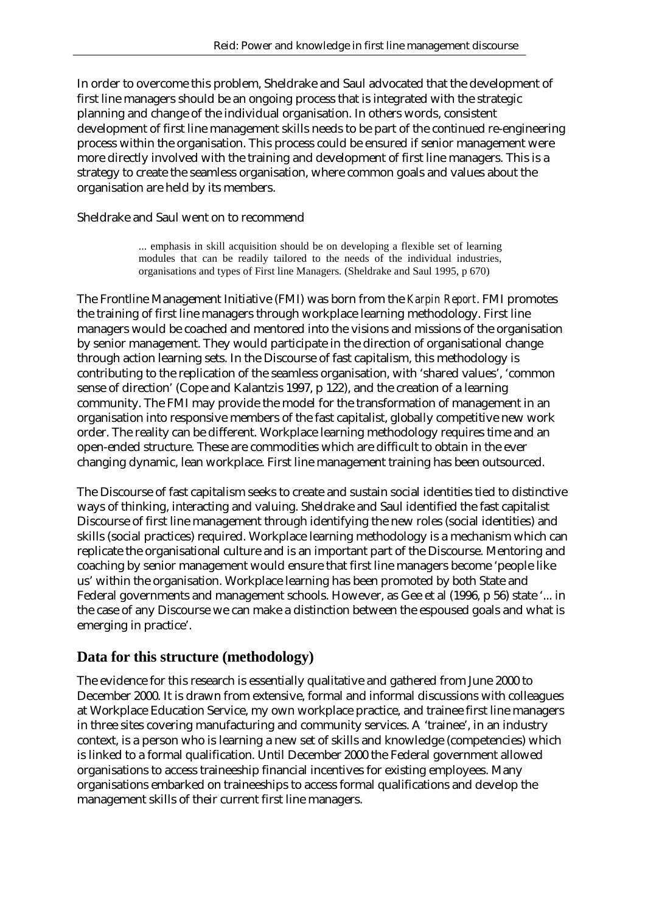In order to overcome this problem, Sheldrake and Saul advocated that the development of first line managers should be an ongoing process that is integrated with the strategic planning and change of the individual organisation. In others words, consistent development of first line management skills needs to be part of the continued re-engineering process within the organisation. This process could be ensured if senior management were more directly involved with the training and development of first line managers. This is a strategy to create the seamless organisation, where common goals and values about the organisation are held by its members.

#### Sheldrake and Saul went on to recommend

... emphasis in skill acquisition should be on developing a flexible set of learning modules that can be readily tailored to the needs of the individual industries, organisations and types of First line Managers. (Sheldrake and Saul 1995, p 670)

The Frontline Management Initiative (FMI) was born from the *Karpin Report*. FMI promotes the training of first line managers through workplace learning methodology. First line managers would be coached and mentored into the visions and missions of the organisation by senior management. They would participate in the direction of organisational change through action learning sets. In the Discourse of fast capitalism, this methodology is contributing to the replication of the seamless organisation, with 'shared values', 'common sense of direction' (Cope and Kalantzis 1997, p 122), and the creation of a learning community. The FMI may provide the model for the transformation of management in an organisation into responsive members of the fast capitalist, globally competitive new work order. The reality can be different. Workplace learning methodology requires time and an open-ended structure. These are commodities which are difficult to obtain in the ever changing dynamic, lean workplace. First line management training has been outsourced.

The Discourse of fast capitalism seeks to create and sustain social identities tied to distinctive ways of thinking, interacting and valuing. Sheldrake and Saul identified the fast capitalist Discourse of first line management through identifying the new roles (social identities) and skills (social practices) required. Workplace learning methodology is a mechanism which can replicate the organisational culture and is an important part of the Discourse. Mentoring and coaching by senior management would ensure that first line managers become 'people like us' within the organisation. Workplace learning has been promoted by both State and Federal governments and management schools. However, as Gee et al (1996, p 56) state '... in the case of any Discourse we can make a distinction between the espoused goals and what is emerging in practice'.

# **Data for this structure (methodology)**

The evidence for this research is essentially qualitative and gathered from June 2000 to December 2000. It is drawn from extensive, formal and informal discussions with colleagues at Workplace Education Service, my own workplace practice, and trainee first line managers in three sites covering manufacturing and community services. A 'trainee', in an industry context, is a person who is learning a new set of skills and knowledge (competencies) which is linked to a formal qualification. Until December 2000 the Federal government allowed organisations to access traineeship financial incentives for existing employees. Many organisations embarked on traineeships to access formal qualifications and develop the management skills of their current first line managers.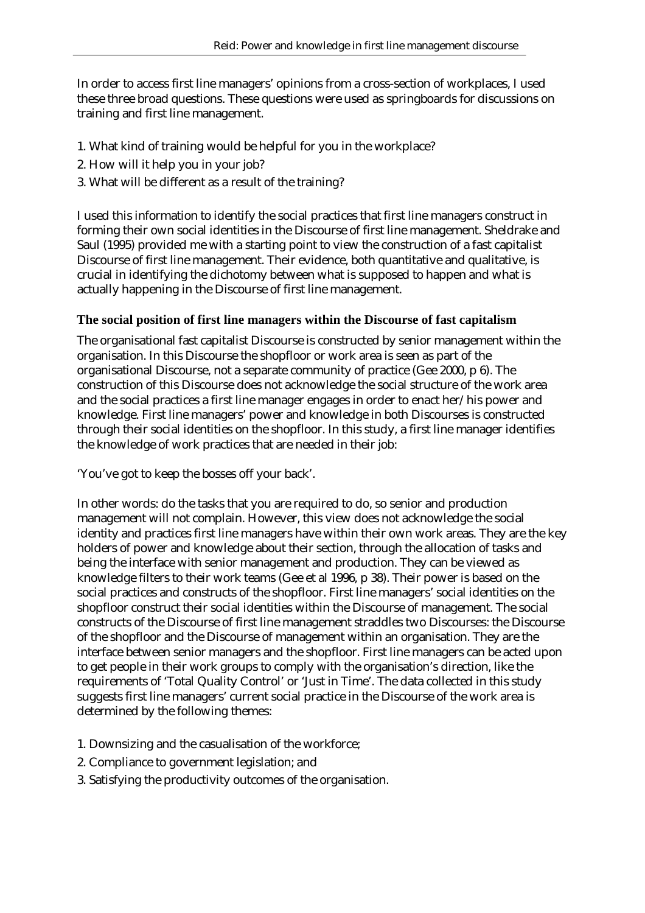In order to access first line managers' opinions from a cross-section of workplaces, I used these three broad questions. These questions were used as springboards for discussions on training and first line management.

- 1. What kind of training would be helpful for you in the workplace?
- 2. How will it help you in your job?
- 3. What will be different as a result of the training?

I used this information to identify the social practices that first line managers construct in forming their own social identities in the Discourse of first line management. Sheldrake and Saul (1995) provided me with a starting point to view the construction of a fast capitalist Discourse of first line management. Their evidence, both quantitative and qualitative, is crucial in identifying the dichotomy between what is supposed to happen and what is actually happening in the Discourse of first line management.

#### **The social position of first line managers within the Discourse of fast capitalism**

The organisational fast capitalist Discourse is constructed by senior management within the organisation. In this Discourse the shopfloor or work area is seen as part of the organisational Discourse, not a separate community of practice (Gee 2000, p 6). The construction of this Discourse does not acknowledge the social structure of the work area and the social practices a first line manager engages in order to enact her/his power and knowledge. First line managers' power and knowledge in both Discourses is constructed through their social identities on the shopfloor. In this study, a first line manager identifies the knowledge of work practices that are needed in their job:

'You've got to keep the bosses off your back'.

In other words: do the tasks that you are required to do, so senior and production management will not complain. However, this view does not acknowledge the social identity and practices first line managers have within their own work areas. They are the key holders of power and knowledge about their section, through the allocation of tasks and being the interface with senior management and production. They can be viewed as knowledge filters to their work teams (Gee et al 1996, p 38). Their power is based on the social practices and constructs of the shopfloor. First line managers' social identities on the shopfloor construct their social identities within the Discourse of management. The social constructs of the Discourse of first line management straddles two Discourses: the Discourse of the shopfloor and the Discourse of management within an organisation. They are the interface between senior managers and the shopfloor. First line managers can be acted upon to get people in their work groups to comply with the organisation's direction, like the requirements of 'Total Quality Control' or 'Just in Time'. The data collected in this study suggests first line managers' current social practice in the Discourse of the work area is determined by the following themes:

- 1. Downsizing and the casualisation of the workforce;
- 2. Compliance to government legislation; and
- 3. Satisfying the productivity outcomes of the organisation.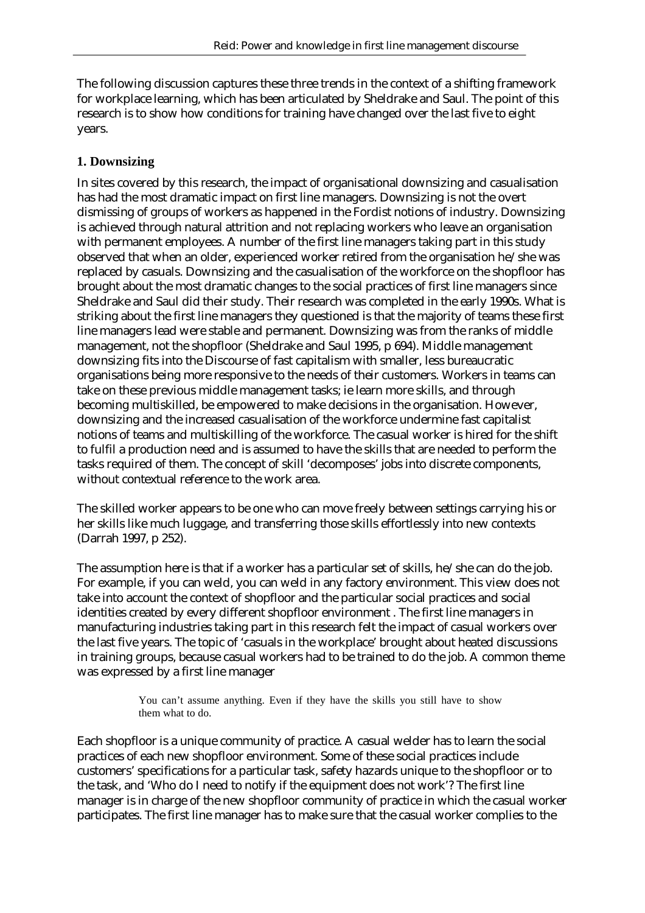The following discussion captures these three trends in the context of a shifting framework for workplace learning, which has been articulated by Sheldrake and Saul. The point of this research is to show how conditions for training have changed over the last five to eight years.

#### **1. Downsizing**

In sites covered by this research, the impact of organisational downsizing and casualisation has had the most dramatic impact on first line managers. Downsizing is not the overt dismissing of groups of workers as happened in the Fordist notions of industry. Downsizing is achieved through natural attrition and not replacing workers who leave an organisation with permanent employees. A number of the first line managers taking part in this study observed that when an older, experienced worker retired from the organisation he/she was replaced by casuals. Downsizing and the casualisation of the workforce on the shopfloor has brought about the most dramatic changes to the social practices of first line managers since Sheldrake and Saul did their study. Their research was completed in the early 1990s. What is striking about the first line managers they questioned is that the majority of teams these first line managers lead were stable and permanent. Downsizing was from the ranks of middle management, not the shopfloor (Sheldrake and Saul 1995, p 694). Middle management downsizing fits into the Discourse of fast capitalism with smaller, less bureaucratic organisations being more responsive to the needs of their customers. Workers in teams can take on these previous middle management tasks; ie learn more skills, and through becoming multiskilled, be empowered to make decisions in the organisation. However, downsizing and the increased casualisation of the workforce undermine fast capitalist notions of teams and multiskilling of the workforce. The casual worker is hired for the shift to fulfil a production need and is assumed to have the skills that are needed to perform the tasks required of them. The concept of skill 'decomposes' jobs into discrete components, without contextual reference to the work area.

The skilled worker appears to be one who can move freely between settings carrying his or her skills like much luggage, and transferring those skills effortlessly into new contexts (Darrah 1997, p 252).

The assumption here is that if a worker has a particular set of skills, he/she can do the job. For example, if you can weld, you can weld in any factory environment. This view does not take into account the context of shopfloor and the particular social practices and social identities created by every different shopfloor environment . The first line managers in manufacturing industries taking part in this research felt the impact of casual workers over the last five years. The topic of 'casuals in the workplace' brought about heated discussions in training groups, because casual workers had to be trained to do the job. A common theme was expressed by a first line manager

> You can't assume anything. Even if they have the skills you still have to show them what to do.

Each shopfloor is a unique community of practice. A casual welder has to learn the social practices of each new shopfloor environment. Some of these social practices include customers' specifications for a particular task, safety hazards unique to the shopfloor or to the task, and 'Who do I need to notify if the equipment does not work'? The first line manager is in charge of the new shopfloor community of practice in which the casual worker participates. The first line manager has to make sure that the casual worker complies to the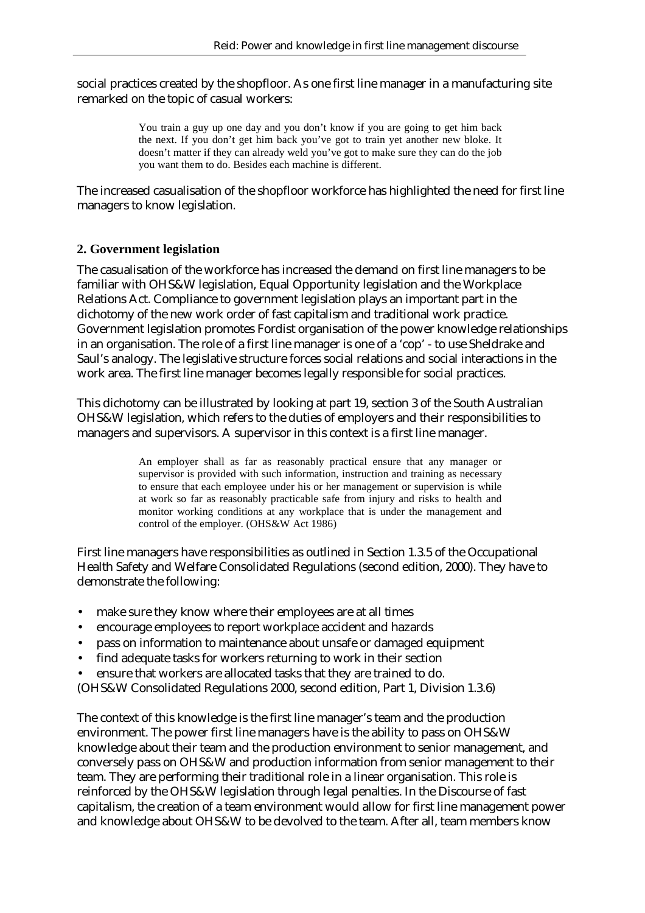social practices created by the shopfloor. As one first line manager in a manufacturing site remarked on the topic of casual workers:

> You train a guy up one day and you don't know if you are going to get him back the next. If you don't get him back you've got to train yet another new bloke. It doesn't matter if they can already weld you've got to make sure they can do the job you want them to do. Besides each machine is different.

The increased casualisation of the shopfloor workforce has highlighted the need for first line managers to know legislation.

#### **2. Government legislation**

The casualisation of the workforce has increased the demand on first line managers to be familiar with OHS&W legislation, Equal Opportunity legislation and the Workplace Relations Act. Compliance to government legislation plays an important part in the dichotomy of the new work order of fast capitalism and traditional work practice. Government legislation promotes Fordist organisation of the power knowledge relationships in an organisation. The role of a first line manager is one of a 'cop' - to use Sheldrake and Saul's analogy. The legislative structure forces social relations and social interactions in the work area. The first line manager becomes legally responsible for social practices.

This dichotomy can be illustrated by looking at part 19, section 3 of the South Australian OHS&W legislation, which refers to the duties of employers and their responsibilities to managers and supervisors. A supervisor in this context is a first line manager.

> An employer shall as far as reasonably practical ensure that any manager or supervisor is provided with such information, instruction and training as necessary to ensure that each employee under his or her management or supervision is while at work so far as reasonably practicable safe from injury and risks to health and monitor working conditions at any workplace that is under the management and control of the employer. (OHS&W Act 1986)

First line managers have responsibilities as outlined in Section 1.3.5 of the Occupational Health Safety and Welfare Consolidated Regulations (second edition, 2000). They have to demonstrate the following:

- make sure they know where their employees are at all times
- encourage employees to report workplace accident and hazards
- pass on information to maintenance about unsafe or damaged equipment
- find adequate tasks for workers returning to work in their section
- ensure that workers are allocated tasks that they are trained to do.

(OHS&W Consolidated Regulations 2000, second edition, Part 1, Division 1.3.6)

The context of this knowledge is the first line manager's team and the production environment. The power first line managers have is the ability to pass on OHS&W knowledge about their team and the production environment to senior management, and conversely pass on OHS&W and production information from senior management to their team. They are performing their traditional role in a linear organisation. This role is reinforced by the OHS&W legislation through legal penalties. In the Discourse of fast capitalism, the creation of a team environment would allow for first line management power and knowledge about OHS&W to be devolved to the team. After all, team members know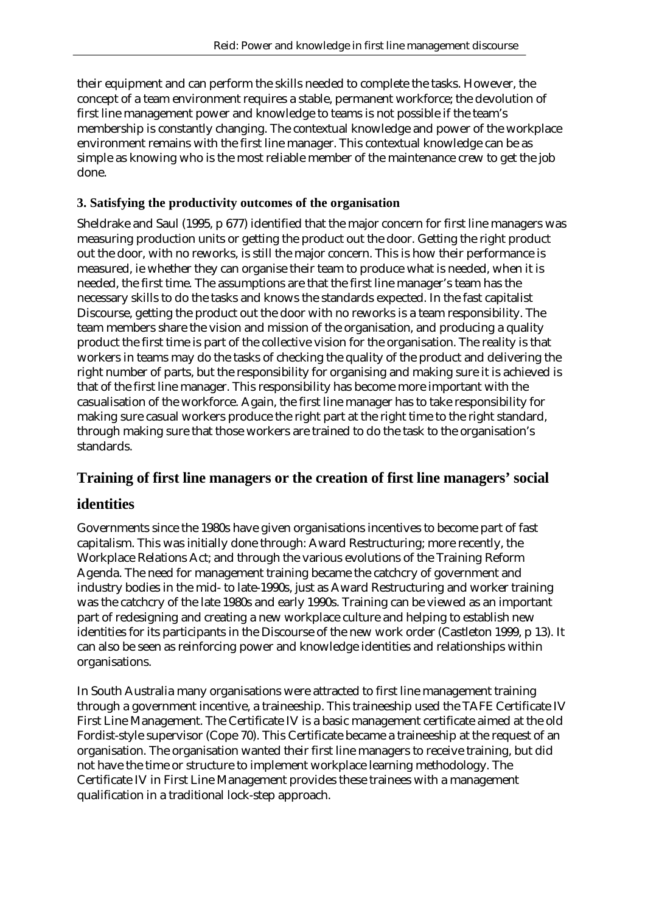their equipment and can perform the skills needed to complete the tasks. However, the concept of a team environment requires a stable, permanent workforce; the devolution of first line management power and knowledge to teams is not possible if the team's membership is constantly changing. The contextual knowledge and power of the workplace environment remains with the first line manager. This contextual knowledge can be as simple as knowing who is the most reliable member of the maintenance crew to get the job done.

#### **3. Satisfying the productivity outcomes of the organisation**

Sheldrake and Saul (1995, p 677) identified that the major concern for first line managers was measuring production units or getting the product out the door. Getting the right product out the door, with no reworks, is still the major concern. This is how their performance is measured, ie whether they can organise their team to produce what is needed, when it is needed, the first time. The assumptions are that the first line manager's team has the necessary skills to do the tasks and knows the standards expected. In the fast capitalist Discourse, getting the product out the door with no reworks is a team responsibility. The team members share the vision and mission of the organisation, and producing a quality product the first time is part of the collective vision for the organisation. The reality is that workers in teams may do the tasks of checking the quality of the product and delivering the right number of parts, but the responsibility for organising and making sure it is achieved is that of the first line manager. This responsibility has become more important with the casualisation of the workforce. Again, the first line manager has to take responsibility for making sure casual workers produce the right part at the right time to the right standard, through making sure that those workers are trained to do the task to the organisation's standards.

# **Training of first line managers or the creation of first line managers' social**

# **identities**

Governments since the 1980s have given organisations incentives to become part of fast capitalism. This was initially done through: Award Restructuring; more recently, the Workplace Relations Act; and through the various evolutions of the Training Reform Agenda. The need for management training became the catchcry of government and industry bodies in the mid- to late-1990s, just as Award Restructuring and worker training was the catchcry of the late 1980s and early 1990s. Training can be viewed as an important part of redesigning and creating a new workplace culture and helping to establish new identities for its participants in the Discourse of the new work order (Castleton 1999, p 13). It can also be seen as reinforcing power and knowledge identities and relationships within organisations.

In South Australia many organisations were attracted to first line management training through a government incentive, a traineeship. This traineeship used the TAFE Certificate IV First Line Management. The Certificate IV is a basic management certificate aimed at the old Fordist-style supervisor (Cope 70). This Certificate became a traineeship at the request of an organisation. The organisation wanted their first line managers to receive training, but did not have the time or structure to implement workplace learning methodology. The Certificate IV in First Line Management provides these trainees with a management qualification in a traditional lock-step approach.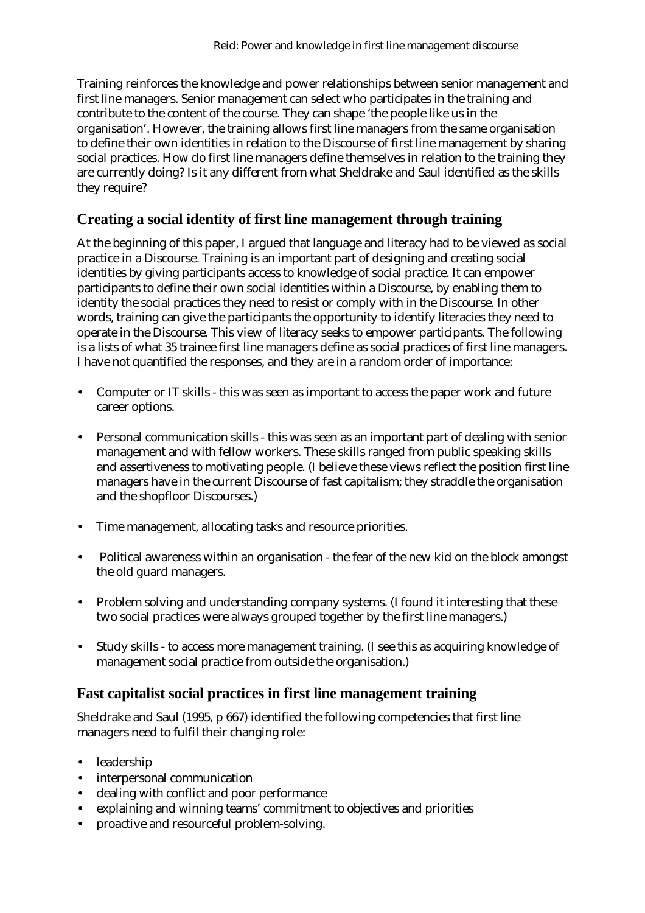Training reinforces the knowledge and power relationships between senior management and first line managers. Senior management can select who participates in the training and contribute to the content of the course. They can shape 'the people like us in the organisation'. However, the training allows first line managers from the same organisation to define their own identities in relation to the Discourse of first line management by sharing social practices. How do first line managers define themselves in relation to the training they are currently doing? Is it any different from what Sheldrake and Saul identified as the skills they require?

# **Creating a social identity of first line management through training**

At the beginning of this paper, I argued that language and literacy had to be viewed as social practice in a Discourse. Training is an important part of designing and creating social identities by giving participants access to knowledge of social practice. It can empower participants to define their own social identities within a Discourse, by enabling them to identity the social practices they need to resist or comply with in the Discourse. In other words, training can give the participants the opportunity to identify literacies they need to operate in the Discourse. This view of literacy seeks to empower participants. The following is a lists of what 35 trainee first line managers define as social practices of first line managers. I have not quantified the responses, and they are in a random order of importance:

- Computer or IT skills this was seen as important to access the paper work and future career options.
- Personal communication skills this was seen as an important part of dealing with senior management and with fellow workers. These skills ranged from public speaking skills and assertiveness to motivating people. (I believe these views reflect the position first line managers have in the current Discourse of fast capitalism; they straddle the organisation and the shopfloor Discourses.)
- Time management, allocating tasks and resource priorities.
- Political awareness within an organisation the fear of the new kid on the block amongst the old guard managers.
- Problem solving and understanding company systems. (I found it interesting that these two social practices were always grouped together by the first line managers.)
- Study skills to access more management training. (I see this as acquiring knowledge of management social practice from outside the organisation.)

# **Fast capitalist social practices in first line management training**

Sheldrake and Saul (1995, p 667) identified the following competencies that first line managers need to fulfil their changing role:

- leadership
- interpersonal communication
- dealing with conflict and poor performance
- explaining and winning teams' commitment to objectives and priorities
- proactive and resourceful problem-solving.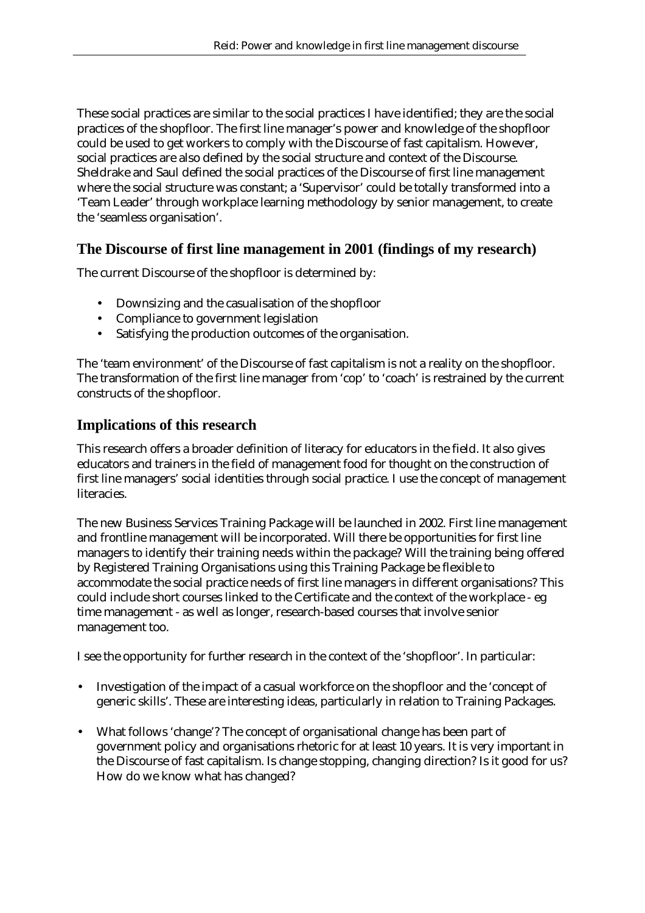These social practices are similar to the social practices I have identified; they are the social practices of the shopfloor. The first line manager's power and knowledge of the shopfloor could be used to get workers to comply with the Discourse of fast capitalism. However, social practices are also defined by the social structure and context of the Discourse. Sheldrake and Saul defined the social practices of the Discourse of first line management where the social structure was constant; a 'Supervisor' could be totally transformed into a 'Team Leader' through workplace learning methodology by senior management, to create the 'seamless organisation'.

# **The Discourse of first line management in 2001 (findings of my research)**

The current Discourse of the shopfloor is determined by:

- Downsizing and the casualisation of the shopfloor
- Compliance to government legislation
- Satisfying the production outcomes of the organisation.

The 'team environment' of the Discourse of fast capitalism is not a reality on the shopfloor. The transformation of the first line manager from 'cop' to 'coach' is restrained by the current constructs of the shopfloor.

### **Implications of this research**

This research offers a broader definition of literacy for educators in the field. It also gives educators and trainers in the field of management food for thought on the construction of first line managers' social identities through social practice. I use the concept of management literacies.

The new Business Services Training Package will be launched in 2002. First line management and frontline management will be incorporated. Will there be opportunities for first line managers to identify their training needs within the package? Will the training being offered by Registered Training Organisations using this Training Package be flexible to accommodate the social practice needs of first line managers in different organisations? This could include short courses linked to the Certificate and the context of the workplace - eg time management - as well as longer, research-based courses that involve senior management too.

I see the opportunity for further research in the context of the 'shopfloor'. In particular:

- Investigation of the impact of a casual workforce on the shopfloor and the 'concept of generic skills'. These are interesting ideas, particularly in relation to Training Packages.
- What follows 'change'? The concept of organisational change has been part of government policy and organisations rhetoric for at least 10 years. It is very important in the Discourse of fast capitalism. Is change stopping, changing direction? Is it good for us? How do we know what has changed?